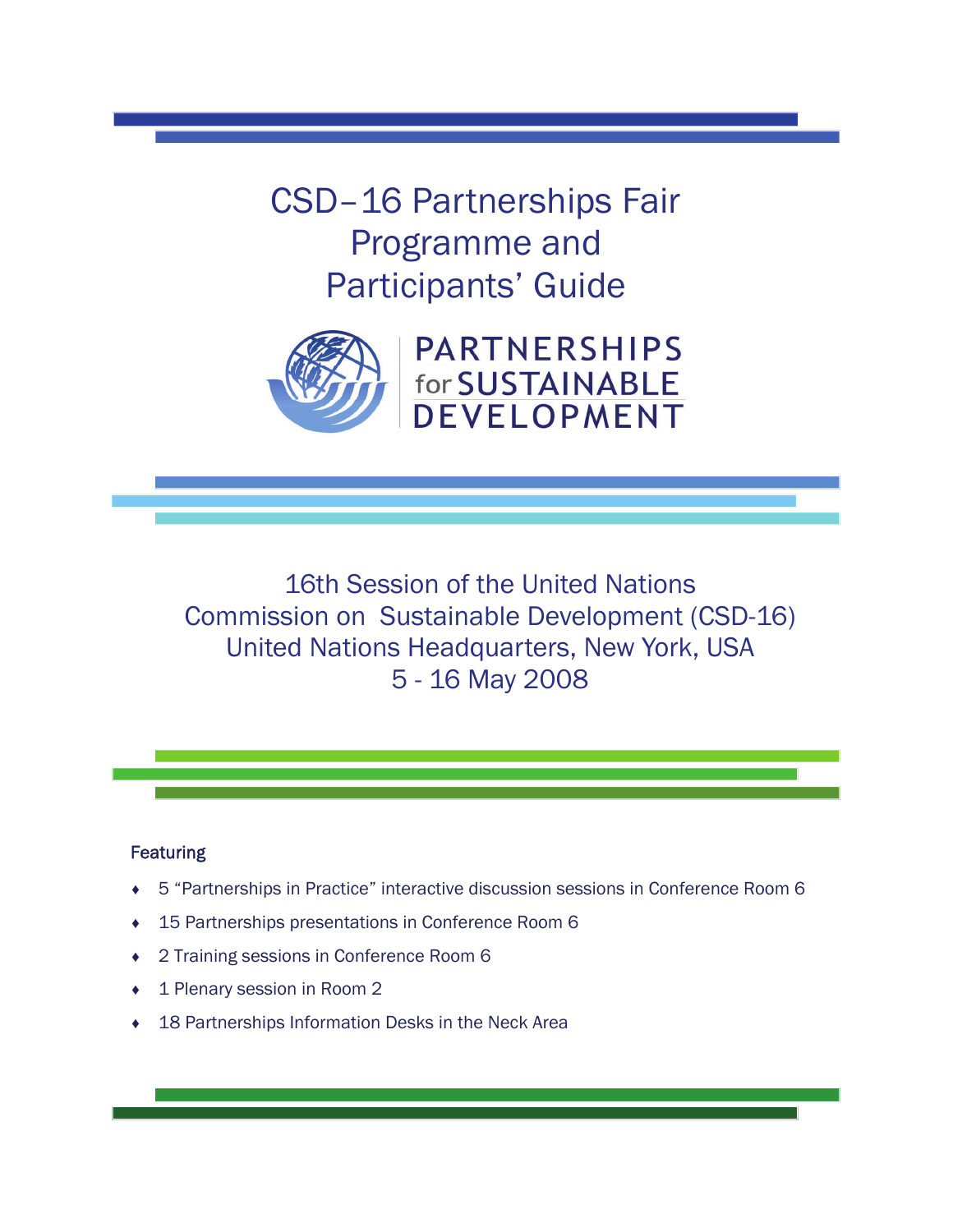CSD–16 Partnerships Fair Programme and Participants' Guide



16th Session of the United Nations Commission on Sustainable Development (CSD-16) United Nations Headquarters, New York, USA 5 - 16 May 2008

## **Featuring**

- ♦ 5 "Partnerships in Practice" interactive discussion sessions in Conference Room 6
- 15 Partnerships presentations in Conference Room 6
- 2 Training sessions in Conference Room 6
- 1 Plenary session in Room 2
- 18 Partnerships Information Desks in the Neck Area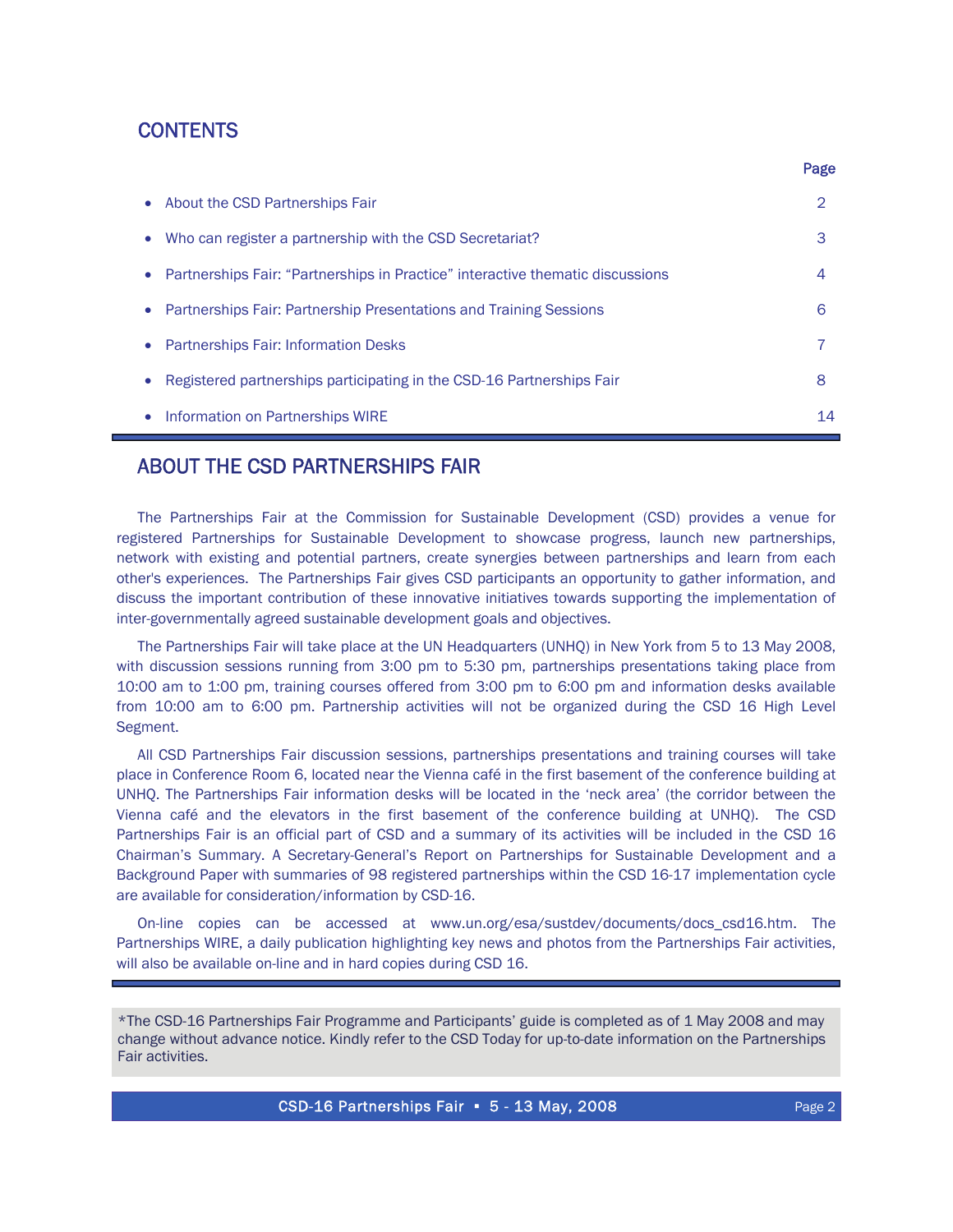## **CONTENTS**

|           | • About the CSD Partnerships Fair                                              | 2  |
|-----------|--------------------------------------------------------------------------------|----|
|           | Who can register a partnership with the CSD Secretariat?                       | З  |
| $\bullet$ | Partnerships Fair: "Partnerships in Practice" interactive thematic discussions | 4  |
| $\bullet$ | Partnerships Fair: Partnership Presentations and Training Sessions             | 6  |
| $\bullet$ | <b>Partnerships Fair: Information Desks</b>                                    |    |
|           | Registered partnerships participating in the CSD-16 Partnerships Fair          | 8  |
| $\bullet$ | Information on Partnerships WIRE                                               | 14 |

## ABOUT THE CSD PARTNERSHIPS FAIR

The Partnerships Fair at the Commission for Sustainable Development (CSD) provides a venue for registered Partnerships for Sustainable Development to showcase progress, launch new partnerships, network with existing and potential partners, create synergies between partnerships and learn from each other's experiences. The Partnerships Fair gives CSD participants an opportunity to gather information, and discuss the important contribution of these innovative initiatives towards supporting the implementation of inter-governmentally agreed sustainable development goals and objectives.

The Partnerships Fair will take place at the UN Headquarters (UNHQ) in New York from 5 to 13 May 2008, with discussion sessions running from 3:00 pm to 5:30 pm, partnerships presentations taking place from 10:00 am to 1:00 pm, training courses offered from 3:00 pm to 6:00 pm and information desks available from 10:00 am to 6:00 pm. Partnership activities will not be organized during the CSD 16 High Level Segment.

All CSD Partnerships Fair discussion sessions, partnerships presentations and training courses will take place in Conference Room 6, located near the Vienna café in the first basement of the conference building at UNHQ. The Partnerships Fair information desks will be located in the 'neck area' (the corridor between the Vienna café and the elevators in the first basement of the conference building at UNHQ). The CSD Partnerships Fair is an official part of CSD and a summary of its activities will be included in the CSD 16 Chairman's Summary. A Secretary-General's Report on Partnerships for Sustainable Development and a Background Paper with summaries of 98 registered partnerships within the CSD 16-17 implementation cycle are available for consideration/information by CSD-16.

On-line copies can be accessed at www.un.org/esa/sustdev/documents/docs\_csd16.htm. The Partnerships WIRE, a daily publication highlighting key news and photos from the Partnerships Fair activities, will also be available on-line and in hard copies during CSD 16.

\*The CSD-16 Partnerships Fair Programme and Participants' guide is completed as of 1 May 2008 and may change without advance notice. Kindly refer to the CSD Today for up-to-date information on the Partnerships Fair activities.

CSD-16 Partnerships Fair • 5 - 13 May, 2008 Page 2

Page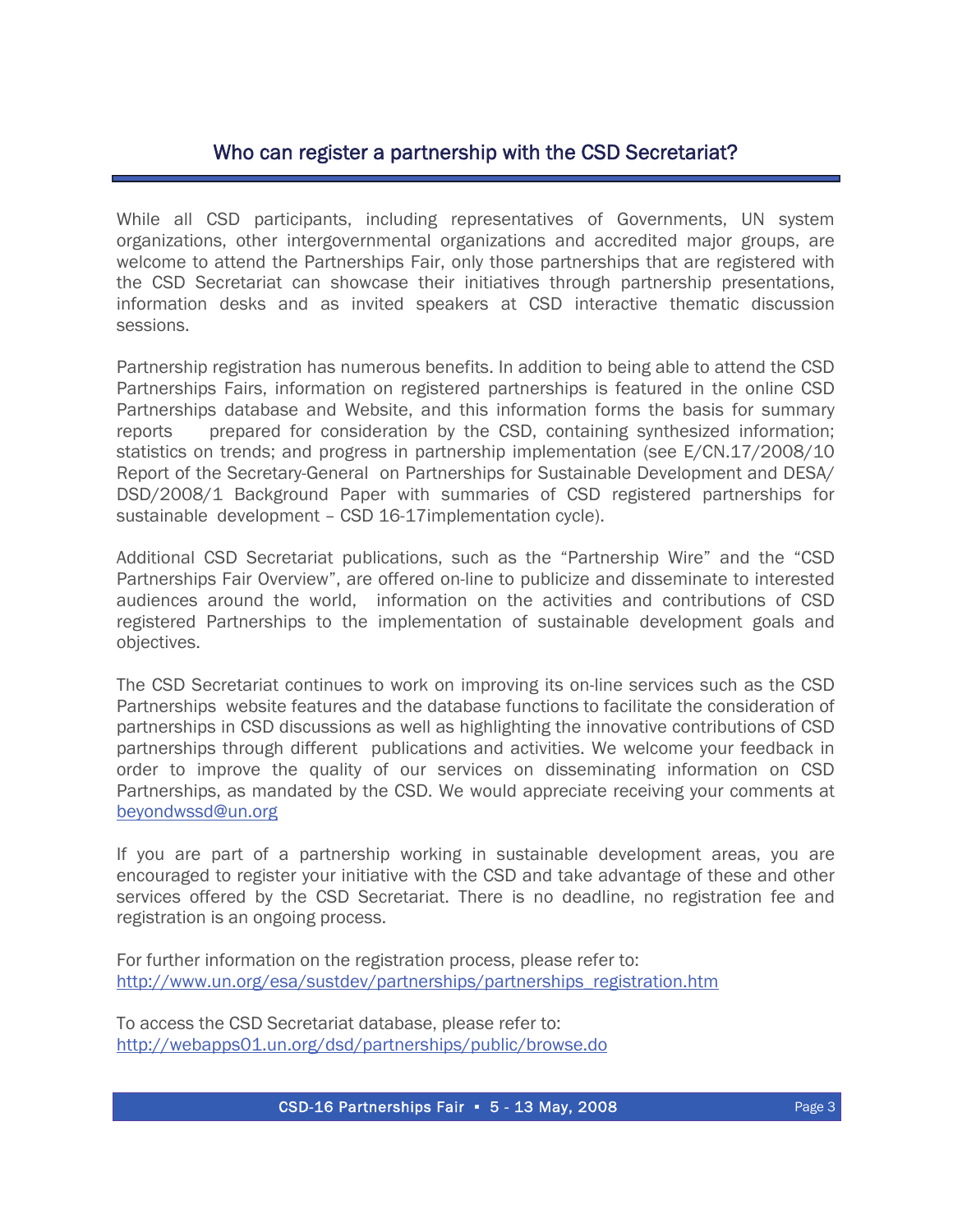## Who can register a partnership with the CSD Secretariat?

While all CSD participants, including representatives of Governments, UN system organizations, other intergovernmental organizations and accredited major groups, are welcome to attend the Partnerships Fair, only those partnerships that are registered with the CSD Secretariat can showcase their initiatives through partnership presentations, information desks and as invited speakers at CSD interactive thematic discussion sessions.

Partnership registration has numerous benefits. In addition to being able to attend the CSD Partnerships Fairs, information on registered partnerships is featured in the online CSD Partnerships database and Website, and this information forms the basis for summary reports prepared for consideration by the CSD, containing synthesized information; statistics on trends; and progress in partnership implementation (see E/CN.17/2008/10 Report of the Secretary-General on Partnerships for Sustainable Development and DESA/ DSD/2008/1 Background Paper with summaries of CSD registered partnerships for sustainable development – CSD 16-17implementation cycle).

Additional CSD Secretariat publications, such as the "Partnership Wire" and the "CSD Partnerships Fair Overview", are offered on-line to publicize and disseminate to interested audiences around the world, information on the activities and contributions of CSD registered Partnerships to the implementation of sustainable development goals and objectives.

The CSD Secretariat continues to work on improving its on-line services such as the CSD Partnerships website features and the database functions to facilitate the consideration of partnerships in CSD discussions as well as highlighting the innovative contributions of CSD partnerships through different publications and activities. We welcome your feedback in order to improve the quality of our services on disseminating information on CSD Partnerships, as mandated by the CSD. We would appreciate receiving your comments at [beyondwssd@un.org](mailto:beyondwssd@un.org)

If you are part of a partnership working in sustainable development areas, you are encouraged to register your initiative with the CSD and take advantage of these and other services offered by the CSD Secretariat. There is no deadline, no registration fee and registration is an ongoing process.

For further information on the registration process, please refer to: [http://www.un.org/esa/sustdev/partnerships/partnerships\\_registration.htm](http://www.un.org/esa/sustdev/partnerships/partnerships_registration.htm)

To access the CSD Secretariat database, please refer to: <http://webapps01.un.org/dsd/partnerships/public/browse.do>

CSD-16 Partnerships Fair • 5 - 13 May, 2008 Page 3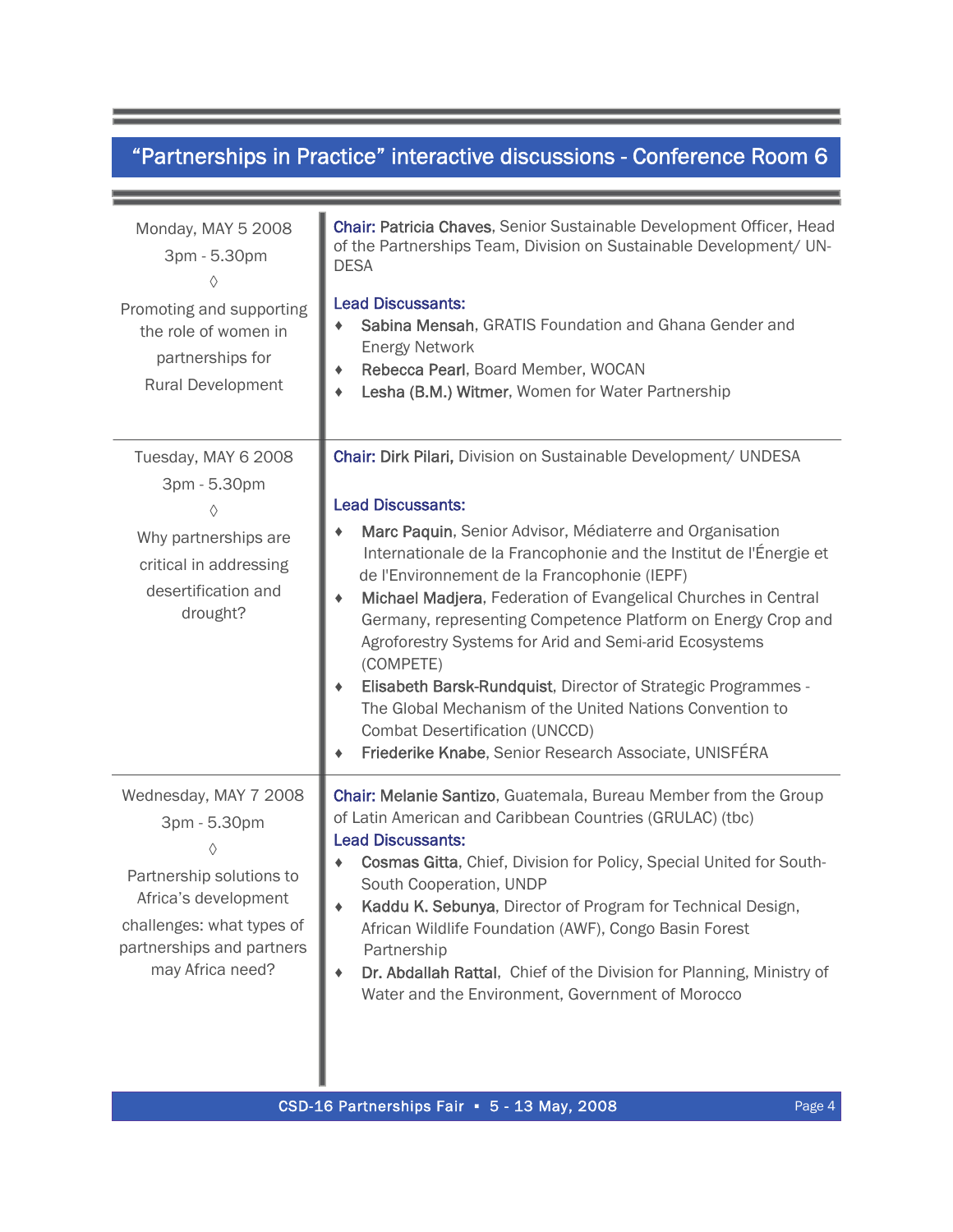## "Partnerships in Practice" interactive discussions - Conference Room 6

| Monday, MAY 5 2008<br>3pm - 5.30pm<br>Promoting and supporting<br>the role of women in<br>partnerships for<br><b>Rural Development</b>                                       | Chair: Patricia Chaves, Senior Sustainable Development Officer, Head<br>of the Partnerships Team, Division on Sustainable Development/ UN-<br><b>DESA</b><br><b>Lead Discussants:</b><br>Sabina Mensah, GRATIS Foundation and Ghana Gender and<br><b>Energy Network</b><br>Rebecca Pearl, Board Member, WOCAN<br>Lesha (B.M.) Witmer, Women for Water Partnership                                                                                                                                                                                                                                                                                                                                                               |
|------------------------------------------------------------------------------------------------------------------------------------------------------------------------------|---------------------------------------------------------------------------------------------------------------------------------------------------------------------------------------------------------------------------------------------------------------------------------------------------------------------------------------------------------------------------------------------------------------------------------------------------------------------------------------------------------------------------------------------------------------------------------------------------------------------------------------------------------------------------------------------------------------------------------|
| Tuesday, MAY 6 2008<br>3pm - 5.30pm<br>Why partnerships are<br>critical in addressing<br>desertification and<br>drought?                                                     | Chair: Dirk Pilari, Division on Sustainable Development/ UNDESA<br><b>Lead Discussants:</b><br>Marc Paquin, Senior Advisor, Médiaterre and Organisation<br>Internationale de la Francophonie and the Institut de l'Énergie et<br>de l'Environnement de la Francophonie (IEPF)<br>Michael Madjera, Federation of Evangelical Churches in Central<br>٠<br>Germany, representing Competence Platform on Energy Crop and<br>Agroforestry Systems for Arid and Semi-arid Ecosystems<br>(COMPETE)<br>Elisabeth Barsk-Rundquist, Director of Strategic Programmes -<br>٠<br>The Global Mechanism of the United Nations Convention to<br><b>Combat Desertification (UNCCD)</b><br>Friederike Knabe, Senior Research Associate, UNISFÉRA |
| Wednesday, MAY 7 2008<br>3pm - 5.30pm<br>♦<br>Partnership solutions to<br>Africa's development<br>challenges: what types of<br>partnerships and partners<br>may Africa need? | Chair: Melanie Santizo, Guatemala, Bureau Member from the Group<br>of Latin American and Caribbean Countries (GRULAC) (tbc)<br><b>Lead Discussants:</b><br>Cosmas Gitta, Chief, Division for Policy, Special United for South-<br>South Cooperation, UNDP<br>Kaddu K. Sebunya, Director of Program for Technical Design,<br>African Wildlife Foundation (AWF), Congo Basin Forest<br>Partnership<br>Dr. Abdallah Rattal, Chief of the Division for Planning, Ministry of<br>Water and the Environment, Government of Morocco                                                                                                                                                                                                    |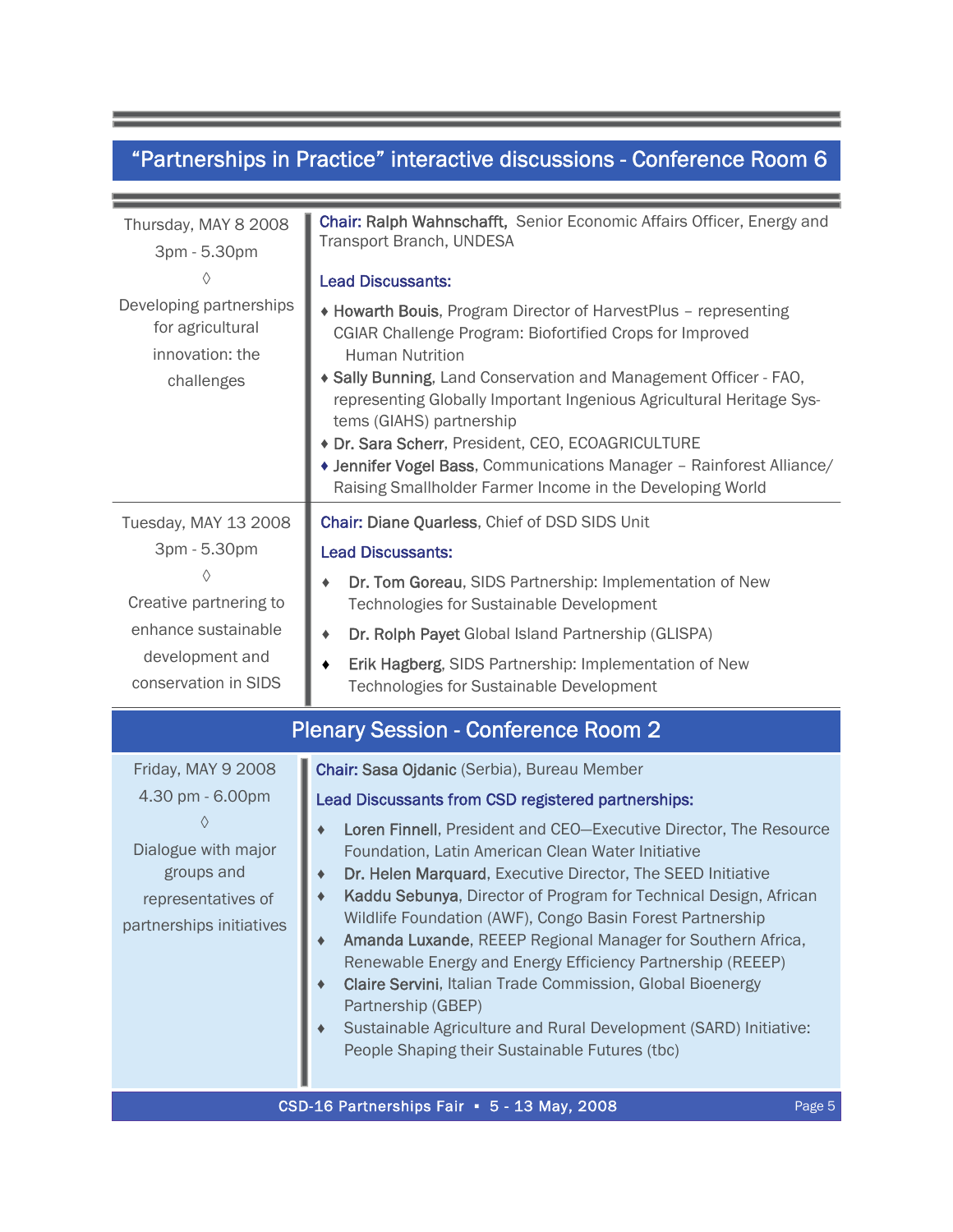## "Partnerships in Practice" interactive discussions - Conference Room 6

| Thursday, MAY 8 2008<br>3pm - 5.30pm                                         | Chair: Ralph Wahnschafft, Senior Economic Affairs Officer, Energy and<br>Transport Branch, UNDESA                                                                                                                                                                                                                                                                                                                                                                                                                     |  |  |  |
|------------------------------------------------------------------------------|-----------------------------------------------------------------------------------------------------------------------------------------------------------------------------------------------------------------------------------------------------------------------------------------------------------------------------------------------------------------------------------------------------------------------------------------------------------------------------------------------------------------------|--|--|--|
| $\langle \rangle$                                                            | <b>Lead Discussants:</b>                                                                                                                                                                                                                                                                                                                                                                                                                                                                                              |  |  |  |
| Developing partnerships<br>for agricultural<br>innovation: the<br>challenges | ◆ Howarth Bouis, Program Director of HarvestPlus - representing<br>CGIAR Challenge Program: Biofortified Crops for Improved<br><b>Human Nutrition</b><br>Sally Bunning, Land Conservation and Management Officer - FAO,<br>representing Globally Important Ingenious Agricultural Heritage Sys-<br>tems (GIAHS) partnership<br>+ Dr. Sara Scherr, President, CEO, ECOAGRICULTURE<br>+ Jennifer Vogel Bass, Communications Manager - Rainforest Alliance/<br>Raising Smallholder Farmer Income in the Developing World |  |  |  |
| Tuesday, MAY 13 2008                                                         | <b>Chair: Diane Quarless, Chief of DSD SIDS Unit</b>                                                                                                                                                                                                                                                                                                                                                                                                                                                                  |  |  |  |
| 3pm - 5.30pm                                                                 | <b>Lead Discussants:</b>                                                                                                                                                                                                                                                                                                                                                                                                                                                                                              |  |  |  |
| Creative partnering to                                                       | Dr. Tom Goreau, SIDS Partnership: Implementation of New<br>Technologies for Sustainable Development                                                                                                                                                                                                                                                                                                                                                                                                                   |  |  |  |
| enhance sustainable                                                          | Dr. Rolph Payet Global Island Partnership (GLISPA)                                                                                                                                                                                                                                                                                                                                                                                                                                                                    |  |  |  |
| development and                                                              | Erik Hagberg, SIDS Partnership: Implementation of New                                                                                                                                                                                                                                                                                                                                                                                                                                                                 |  |  |  |
| conservation in SIDS                                                         | Technologies for Sustainable Development                                                                                                                                                                                                                                                                                                                                                                                                                                                                              |  |  |  |
|                                                                              | <b>Plenary Session - Conference Room 2</b>                                                                                                                                                                                                                                                                                                                                                                                                                                                                            |  |  |  |
| Friday, MAY 9 2008                                                           | Chair: Sasa Ojdanic (Serbia), Bureau Member                                                                                                                                                                                                                                                                                                                                                                                                                                                                           |  |  |  |
| 4.30 pm - 6.00pm                                                             | Lead Discussants from CSD registered partnerships:                                                                                                                                                                                                                                                                                                                                                                                                                                                                    |  |  |  |
| $\langle \rangle$                                                            | Loren Finnell, President and CEO-Executive Director, The Resource                                                                                                                                                                                                                                                                                                                                                                                                                                                     |  |  |  |
| Dialogue with major<br>groups and                                            | Foundation, Latin American Clean Water Initiative<br>Dr. Helen Marquard, Executive Director, The SEED Initiative                                                                                                                                                                                                                                                                                                                                                                                                      |  |  |  |
| representatives of                                                           | Kaddu Sebunya, Director of Program for Technical Design, African                                                                                                                                                                                                                                                                                                                                                                                                                                                      |  |  |  |
| partnerships initiatives                                                     | Wildlife Foundation (AWF), Congo Basin Forest Partnership<br>Amanda Luxande, REEEP Regional Manager for Southern Africa,                                                                                                                                                                                                                                                                                                                                                                                              |  |  |  |
|                                                                              | Renewable Energy and Energy Efficiency Partnership (REEEP)                                                                                                                                                                                                                                                                                                                                                                                                                                                            |  |  |  |
|                                                                              | Claire Servini, Italian Trade Commission, Global Bioenergy<br>Partnership (GBEP)                                                                                                                                                                                                                                                                                                                                                                                                                                      |  |  |  |
|                                                                              | Sustainable Agriculture and Rural Development (SARD) Initiative:                                                                                                                                                                                                                                                                                                                                                                                                                                                      |  |  |  |
|                                                                              | People Shaping their Sustainable Futures (tbc)                                                                                                                                                                                                                                                                                                                                                                                                                                                                        |  |  |  |
| CSD-16 Partnerships Fair • 5 - 13 May, 2008<br>Page 5                        |                                                                                                                                                                                                                                                                                                                                                                                                                                                                                                                       |  |  |  |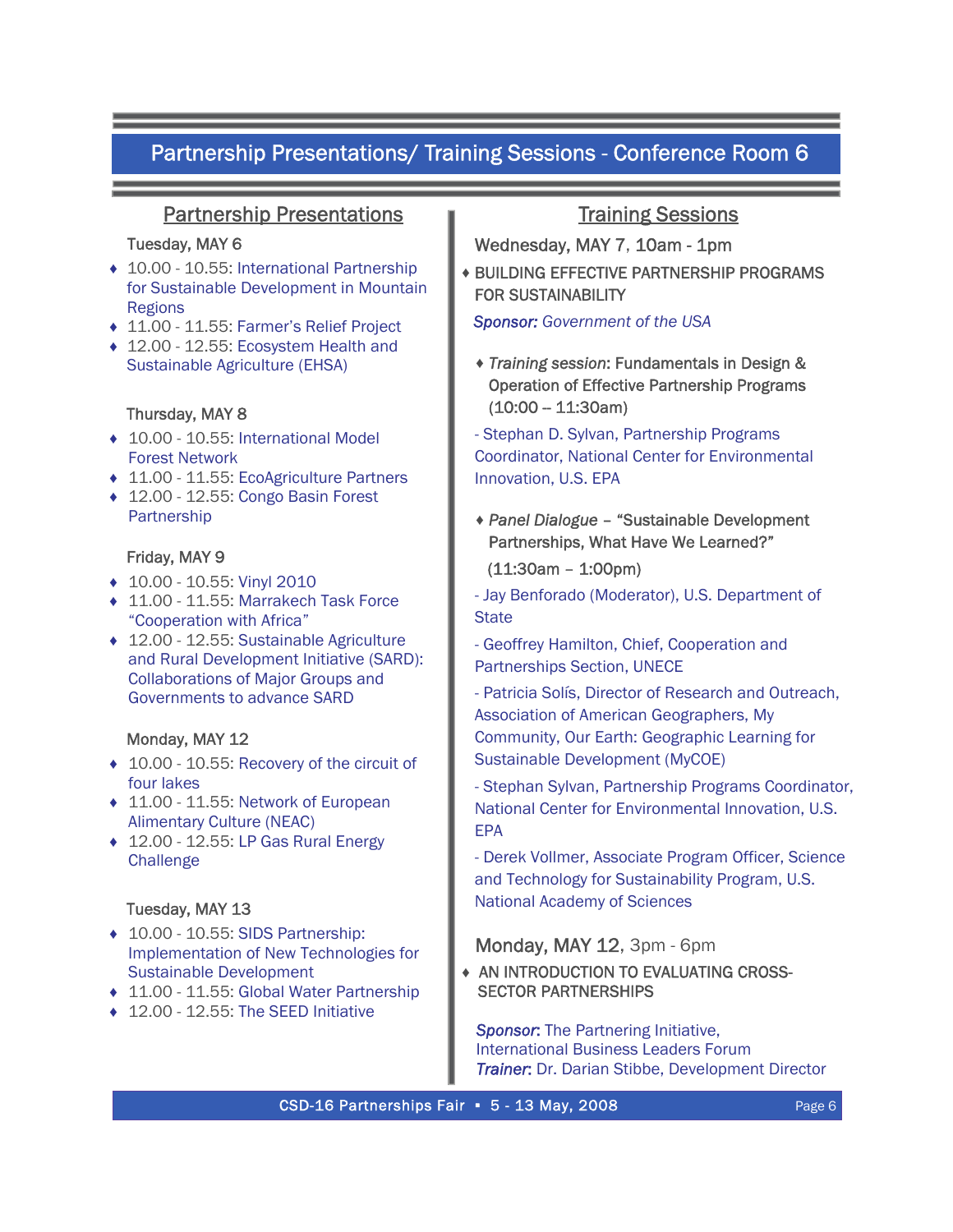## Partnership Presentations/ Training Sessions - Conference Room 6

## Partnership Presentations

## Tuesday, MAY 6

- ◆ 10.00 10.55: International Partnership for Sustainable Development in Mountain **Regions**
- ♦ 11.00 11.55: Farmer's Relief Project
- ◆ 12.00 12.55: Ecosystem Health and Sustainable Agriculture (EHSA)

## Thursday, MAY 8

- ♦ 10.00 10.55: International Model Forest Network
- ♦ 11.00 11.55: EcoAgriculture Partners
- ♦ 12.00 12.55: Congo Basin Forest Partnership

## Friday, MAY 9

- ♦ 10.00 10.55: Vinyl 2010
- ♦ 11.00 11.55: Marrakech Task Force "Cooperation with Africa"
- ♦ 12.00 12.55: Sustainable Agriculture and Rural Development Initiative (SARD): Collaborations of Major Groups and Governments to advance SARD

## Monday, MAY 12

- ◆ 10.00 10.55: Recovery of the circuit of four lakes
- ◆ 11.00 11.55: Network of European Alimentary Culture (NEAC)
- $\triangleleft$  12.00 12.55: LP Gas Rural Energy **Challenge**

## Tuesday, MAY 13

- ♦ 10.00 10.55: SIDS Partnership: Implementation of New Technologies for Sustainable Development
- ♦ 11.00 11.55: Global Water Partnership
- $\triangleleft$  12.00 12.55: The SEED Initiative

## Training Sessions

Wednesday, MAY 7, 10am - 1pm

♦ BUILDING EFFECTIVE PARTNERSHIP PROGRAMS FOR SUSTAINABILITY

 *Sponsor: Government of the USA* 

♦ *Training session*: Fundamentals in Design & Operation of Effective Partnership Programs  $(10:00 - 11:30am)$ 

- Stephan D. Sylvan, Partnership Programs Coordinator, National Center for Environmental Innovation, U.S. EPA

♦ *Panel Dialogue* – "Sustainable Development Partnerships, What Have We Learned?"

 $(11:30am - 1:00pm)$ 

- Jay Benforado (Moderator), U.S. Department of **State** 

- Geoffrey Hamilton, Chief, Cooperation and Partnerships Section, UNECE

- Patricia Solís, Director of Research and Outreach, Association of American Geographers, My Community, Our Earth: Geographic Learning for Sustainable Development (MyCOE)

- Stephan Sylvan, Partnership Programs Coordinator, National Center for Environmental Innovation, U.S. EPA

- Derek Vollmer, Associate Program Officer, Science and Technology for Sustainability Program, U.S. National Academy of Sciences

## Monday, MAY 12, 3pm - 6pm

♦ AN INTRODUCTION TO EVALUATING CROSS- SECTOR PARTNERSHIPS

**Sponsor:** The Partnering Initiative. International Business Leaders Forum  *Trainer*: Dr. Darian Stibbe, Development Director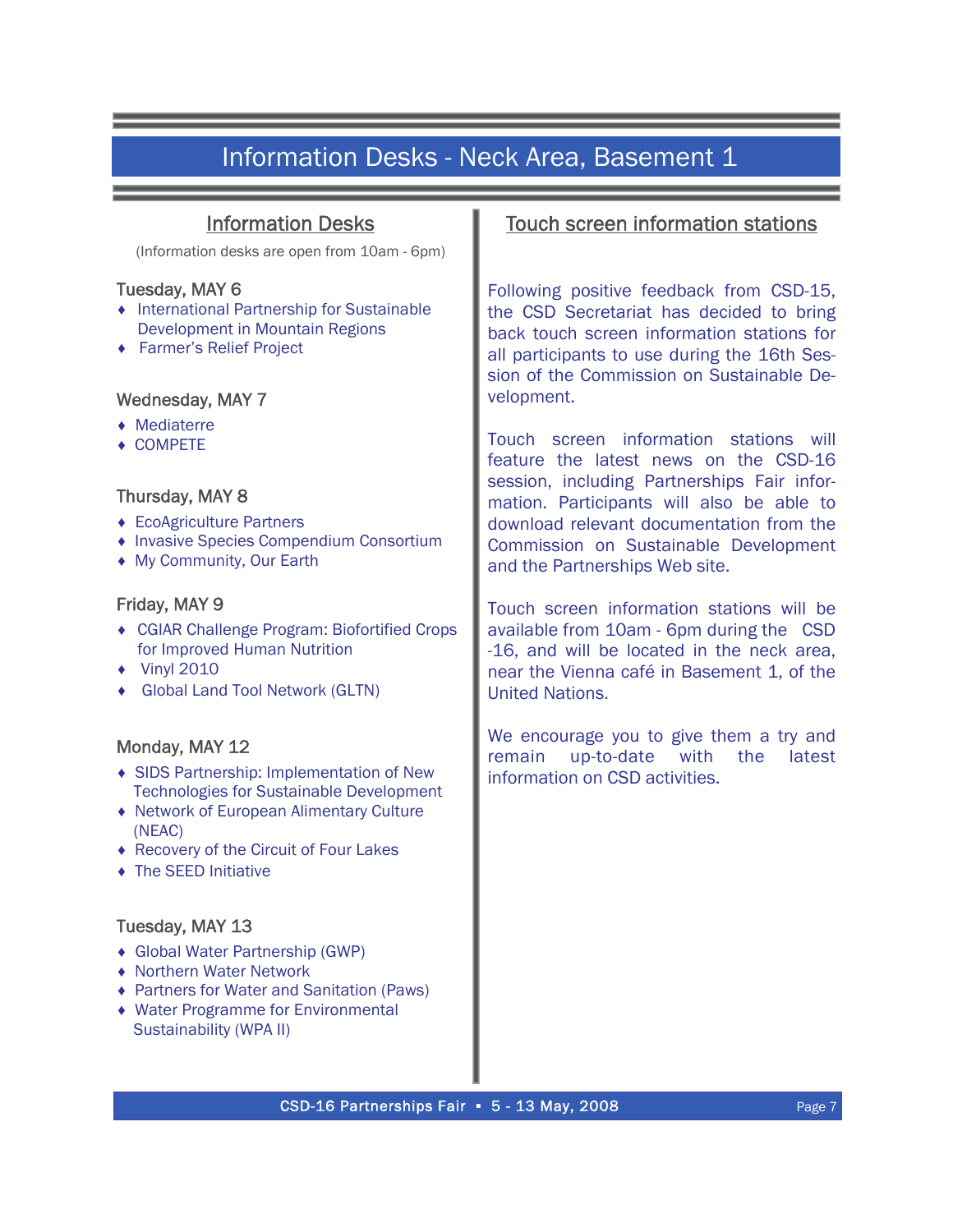## Information Desks - Neck Area, Basement 1

## Information Desks

(Information desks are open from 10am - 6pm)

## Tuesday, MAY 6

- ♦ International Partnership for Sustainable Development in Mountain Regions
- ♦ Farmer's Relief Project

## Wednesday, MAY 7

- ♦ Mediaterre
- ♦ COMPETE

## Thursday, MAY 8

- ♦ EcoAgriculture Partners
- ♦ Invasive Species Compendium Consortium
- ♦ My Community, Our Earth

## Friday, MAY 9

- ♦ CGIAR Challenge Program: Biofortified Crops for Improved Human Nutrition
- ♦ Vinyl 2010
- ♦ Global Land Tool Network (GLTN)

## Monday, MAY 12

- ♦ SIDS Partnership: Implementation of New Technologies for Sustainable Development
- ♦ Network of European Alimentary Culture (NEAC)
- ♦ Recovery of the Circuit of Four Lakes
- ♦ The SEED Initiative

## Tuesday, MAY 13

- ♦ Global Water Partnership (GWP)
- ♦ Northern Water Network
- ♦ Partners for Water and Sanitation (Paws)
- ♦ Water Programme for Environmental Sustainability (WPA II)

## Touch screen information stations

Following positive feedback from CSD-15, the CSD Secretariat has decided to bring back touch screen information stations for all participants to use during the 16th Session of the Commission on Sustainable Development.

Touch screen information stations will feature the latest news on the CSD-16 session, including Partnerships Fair information. Participants will also be able to download relevant documentation from the Commission on Sustainable Development and the Partnerships Web site.

Touch screen information stations will be available from 10am - 6pm during the CSD -16, and will be located in the neck area, near the Vienna café in Basement 1, of the United Nations.

We encourage you to give them a try and remain up-to-date with the latest information on CSD activities.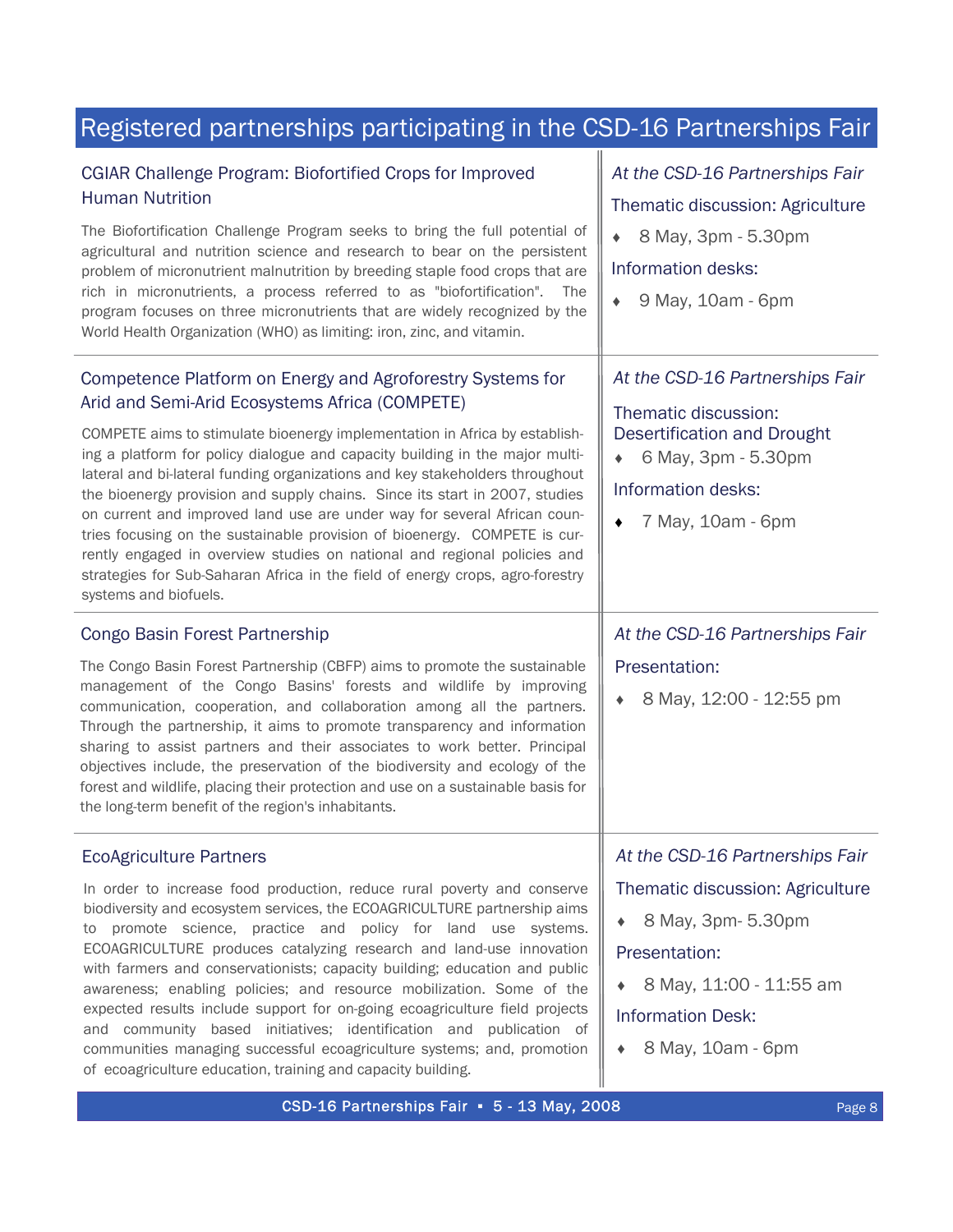| Registered partnerships participating in the CSD-16 Partnerships Fair                                                                                                                                                                                                                                                                                                                                                                                                                                                                                                                                                                                                                                                                                                                    |                                                                                                                                                                                             |  |  |  |
|------------------------------------------------------------------------------------------------------------------------------------------------------------------------------------------------------------------------------------------------------------------------------------------------------------------------------------------------------------------------------------------------------------------------------------------------------------------------------------------------------------------------------------------------------------------------------------------------------------------------------------------------------------------------------------------------------------------------------------------------------------------------------------------|---------------------------------------------------------------------------------------------------------------------------------------------------------------------------------------------|--|--|--|
| CGIAR Challenge Program: Biofortified Crops for Improved<br><b>Human Nutrition</b><br>The Biofortification Challenge Program seeks to bring the full potential of<br>agricultural and nutrition science and research to bear on the persistent<br>problem of micronutrient malnutrition by breeding staple food crops that are<br>rich in micronutrients, a process referred to as "biofortification".<br>The<br>program focuses on three micronutrients that are widely recognized by the<br>World Health Organization (WHO) as limiting: iron, zinc, and vitamin.                                                                                                                                                                                                                      | At the CSD-16 Partnerships Fair<br>Thematic discussion: Agriculture<br>8 May, 3pm - 5.30pm<br>٠<br>Information desks:<br>9 May, 10am - 6pm<br>۰                                             |  |  |  |
| Competence Platform on Energy and Agroforestry Systems for<br>Arid and Semi-Arid Ecosystems Africa (COMPETE)<br>COMPETE aims to stimulate bioenergy implementation in Africa by establish-<br>ing a platform for policy dialogue and capacity building in the major multi-<br>lateral and bi-lateral funding organizations and key stakeholders throughout<br>the bioenergy provision and supply chains. Since its start in 2007, studies<br>on current and improved land use are under way for several African coun-<br>tries focusing on the sustainable provision of bioenergy. COMPETE is cur-<br>rently engaged in overview studies on national and regional policies and<br>strategies for Sub-Saharan Africa in the field of energy crops, agro-forestry<br>systems and biofuels. | At the CSD-16 Partnerships Fair<br>Thematic discussion:<br><b>Desertification and Drought</b><br>6 May, 3pm - 5.30pm<br>٠<br>Information desks:<br>7 May, 10am - 6pm                        |  |  |  |
| Congo Basin Forest Partnership<br>The Congo Basin Forest Partnership (CBFP) aims to promote the sustainable<br>management of the Congo Basins' forests and wildlife by improving<br>communication, cooperation, and collaboration among all the partners.<br>Through the partnership, it aims to promote transparency and information<br>sharing to assist partners and their associates to work better. Principal<br>objectives include, the preservation of the biodiversity and ecology of the<br>forest and wildlife, placing their protection and use on a sustainable basis for<br>the long-term benefit of the region's inhabitants.                                                                                                                                              | At the CSD-16 Partnerships Fair<br>Presentation:<br>8 May, 12:00 - 12:55 pm                                                                                                                 |  |  |  |
| <b>EcoAgriculture Partners</b><br>In order to increase food production, reduce rural poverty and conserve<br>biodiversity and ecosystem services, the ECOAGRICULTURE partnership aims<br>to promote science, practice and policy for land use systems.<br>ECOAGRICULTURE produces catalyzing research and land-use innovation<br>with farmers and conservationists; capacity building; education and public<br>awareness; enabling policies; and resource mobilization. Some of the<br>expected results include support for on-going ecoagriculture field projects<br>and community based initiatives; identification and publication of<br>communities managing successful ecoagriculture systems; and, promotion<br>of ecoagriculture education, training and capacity building.       | At the CSD-16 Partnerships Fair<br>Thematic discussion: Agriculture<br>8 May, 3pm- 5.30pm<br>٠<br>Presentation:<br>8 May, 11:00 - 11:55 am<br><b>Information Desk:</b><br>8 May, 10am - 6pm |  |  |  |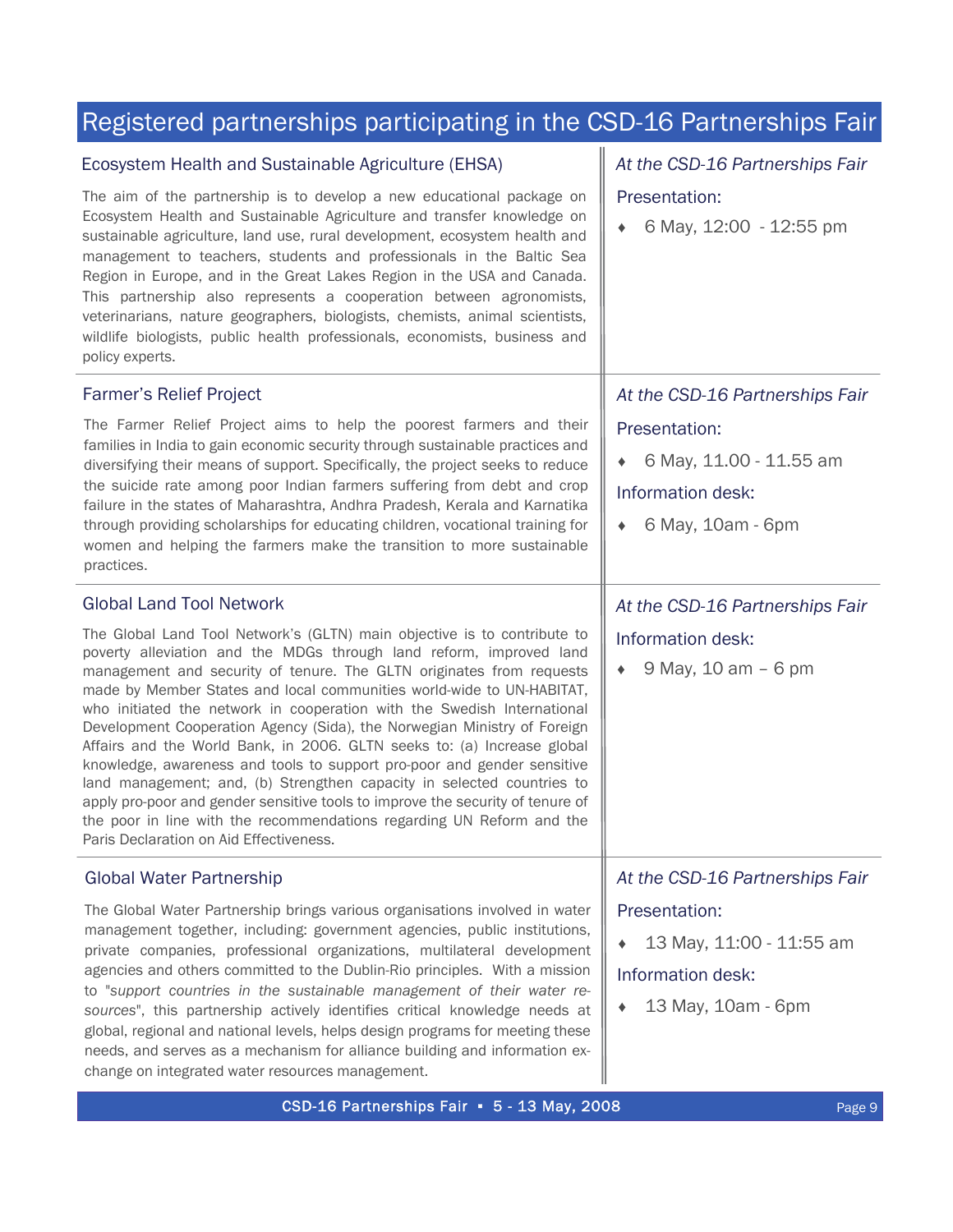### Ecosystem Health and Sustainable Agriculture (EHSA) *At the CSD-16 Partnerships Fair*  Presentation: ♦ 6 May, 12:00 - 12:55 pm The aim of the partnership is to develop a new educational package on Ecosystem Health and Sustainable Agriculture and transfer knowledge on sustainable agriculture, land use, rural development, ecosystem health and management to teachers, students and professionals in the Baltic Sea Region in Europe, and in the Great Lakes Region in the USA and Canada. This partnership also represents a cooperation between agronomists, veterinarians, nature geographers, biologists, chemists, animal scientists, wildlife biologists, public health professionals, economists, business and policy experts. Farmer's Relief Project *At the CSD-16 Partnerships Fair*  Presentation: ♦ 6 May, 11.00 - 11.55 am Information desk: ♦ 6 May, 10am - 6pm Global Water Partnership *At the CSD-16 Partnerships Fair*  Presentation: ♦ 13 May, 11:00 - 11:55 am Information desk:  $\arrow$  13 May, 10am - 6pm Registered partnerships participating in the CSD-16 Partnerships Fair The Farmer Relief Project aims to help the poorest farmers and their families in India to gain economic security through sustainable practices and diversifying their means of support. Specifically, the project seeks to reduce the suicide rate among poor Indian farmers suffering from debt and crop failure in the states of Maharashtra, Andhra Pradesh, Kerala and Karnatika through providing scholarships for educating children, vocational training for women and helping the farmers make the transition to more sustainable practices. Global Land Tool Network **At the CSD-16 Partnerships Fair At the CSD-16 Partnerships Fair** Information desk:  $\bullet$  9 May, 10 am – 6 pm The Global Land Tool Network's (GLTN) main objective is to contribute to poverty alleviation and the MDGs through land reform, improved land management and security of tenure. The GLTN originates from requests made by Member States and local communities world-wide to UN-HABITAT, who initiated the network in cooperation with the Swedish International Development Cooperation Agency (Sida), the Norwegian Ministry of Foreign Affairs and the World Bank, in 2006. GLTN seeks to: (a) Increase global knowledge, awareness and tools to support pro-poor and gender sensitive land management; and, (b) Strengthen capacity in selected countries to apply pro-poor and gender sensitive tools to improve the security of tenure of the poor in line with the recommendations regarding UN Reform and the Paris Declaration on Aid Effectiveness. The Global Water Partnership brings various organisations involved in water management together, including: government agencies, public institutions, private companies, professional organizations, multilateral development agencies and others committed to the Dublin-Rio principles. With a mission to "*support countries in the sustainable management of their water resources*", this partnership actively identifies critical knowledge needs at global, regional and national levels, helps design programs for meeting these needs, and serves as a mechanism for alliance building and information exchange on integrated water resources management.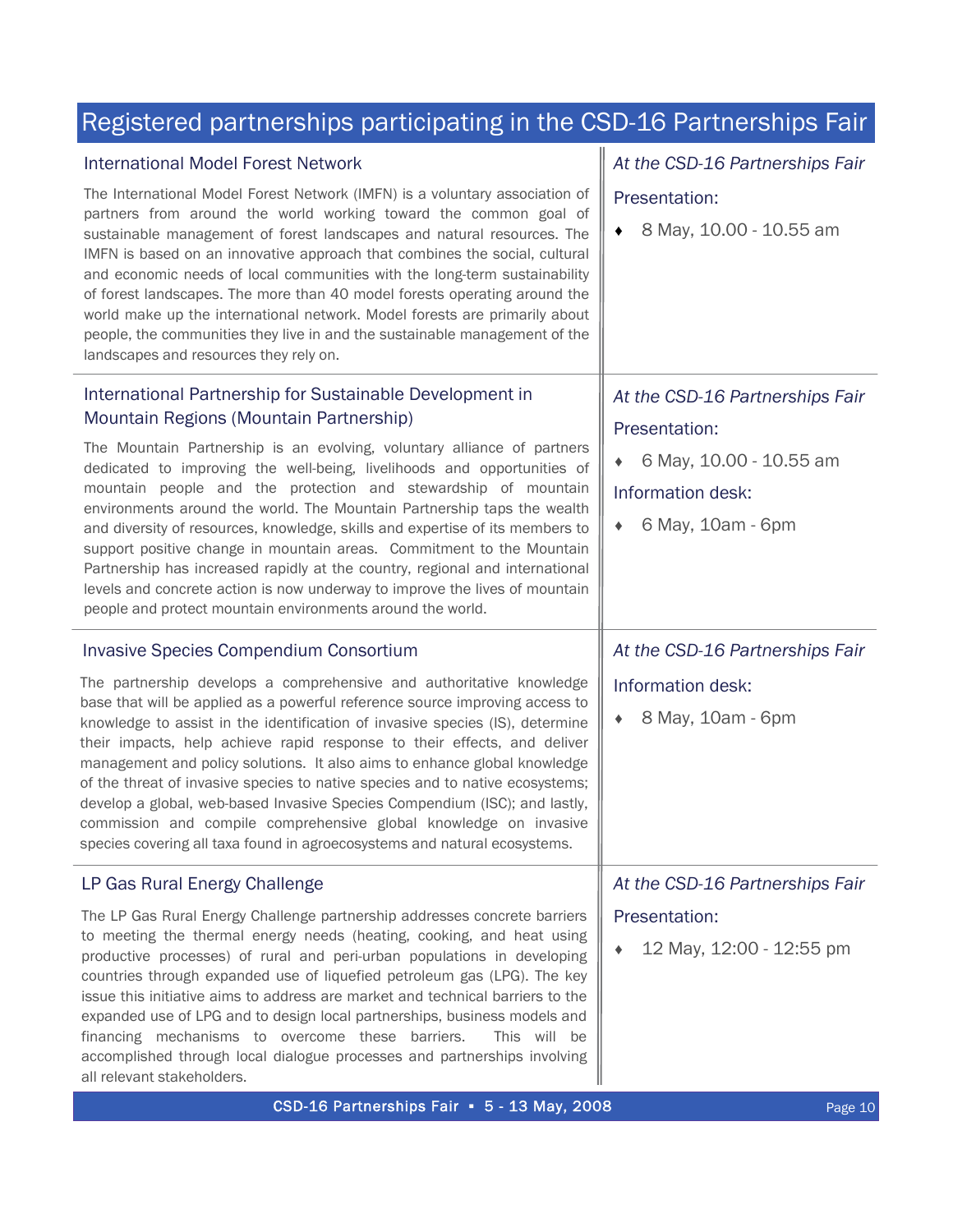| Registered partnerships participating in the CSD-16 Partnerships Fair                                                                                                                                                                                                                                                                                                                                                                                                                                                                                                                                                                                                                                           |                                                                                  |  |  |
|-----------------------------------------------------------------------------------------------------------------------------------------------------------------------------------------------------------------------------------------------------------------------------------------------------------------------------------------------------------------------------------------------------------------------------------------------------------------------------------------------------------------------------------------------------------------------------------------------------------------------------------------------------------------------------------------------------------------|----------------------------------------------------------------------------------|--|--|
| <b>International Model Forest Network</b>                                                                                                                                                                                                                                                                                                                                                                                                                                                                                                                                                                                                                                                                       | At the CSD-16 Partnerships Fair                                                  |  |  |
| The International Model Forest Network (IMFN) is a voluntary association of<br>partners from around the world working toward the common goal of<br>sustainable management of forest landscapes and natural resources. The<br>IMFN is based on an innovative approach that combines the social, cultural<br>and economic needs of local communities with the long-term sustainability<br>of forest landscapes. The more than 40 model forests operating around the<br>world make up the international network. Model forests are primarily about<br>people, the communities they live in and the sustainable management of the<br>landscapes and resources they rely on.                                         | Presentation:<br>8 May, 10.00 - 10.55 am<br>٠                                    |  |  |
| International Partnership for Sustainable Development in<br>Mountain Regions (Mountain Partnership)<br>The Mountain Partnership is an evolving, voluntary alliance of partners<br>dedicated to improving the well-being, livelihoods and opportunities of                                                                                                                                                                                                                                                                                                                                                                                                                                                       | At the CSD-16 Partnerships Fair<br>Presentation:<br>6 May, 10.00 - 10.55 am<br>۰ |  |  |
| mountain people and the protection and stewardship of mountain<br>environments around the world. The Mountain Partnership taps the wealth<br>and diversity of resources, knowledge, skills and expertise of its members to<br>support positive change in mountain areas. Commitment to the Mountain<br>Partnership has increased rapidly at the country, regional and international<br>levels and concrete action is now underway to improve the lives of mountain<br>people and protect mountain environments around the world.                                                                                                                                                                                | Information desk:<br>6 May, 10am - 6pm<br>٠                                      |  |  |
| <b>Invasive Species Compendium Consortium</b>                                                                                                                                                                                                                                                                                                                                                                                                                                                                                                                                                                                                                                                                   | At the CSD-16 Partnerships Fair                                                  |  |  |
| The partnership develops a comprehensive and authoritative knowledge<br>base that will be applied as a powerful reference source improving access to<br>knowledge to assist in the identification of invasive species (IS), determine<br>their impacts, help achieve rapid response to their effects, and deliver<br>management and policy solutions. It also aims to enhance global knowledge<br>of the threat of invasive species to native species and to native ecosystems;<br>develop a global, web-based Invasive Species Compendium (ISC); and lastly,<br>commission and compile comprehensive global knowledge on invasive<br>species covering all taxa found in agroecosystems and natural ecosystems. | Information desk:<br>8 May, 10am - 6pm<br>$\blacklozenge$                        |  |  |
| LP Gas Rural Energy Challenge                                                                                                                                                                                                                                                                                                                                                                                                                                                                                                                                                                                                                                                                                   | At the CSD-16 Partnerships Fair                                                  |  |  |
| The LP Gas Rural Energy Challenge partnership addresses concrete barriers<br>to meeting the thermal energy needs (heating, cooking, and heat using<br>productive processes) of rural and peri-urban populations in developing<br>countries through expanded use of liquefied petroleum gas (LPG). The key<br>issue this initiative aims to address are market and technical barriers to the<br>expanded use of LPG and to design local partnerships, business models and<br>financing mechanisms to overcome these barriers.<br>This will be<br>accomplished through local dialogue processes and partnerships involving<br>all relevant stakeholders.                                                          | Presentation:<br>12 May, 12:00 - 12:55 pm<br>٠                                   |  |  |
| CSD-16 Partnerships Fair • 5 - 13 May, 2008<br>Page 10                                                                                                                                                                                                                                                                                                                                                                                                                                                                                                                                                                                                                                                          |                                                                                  |  |  |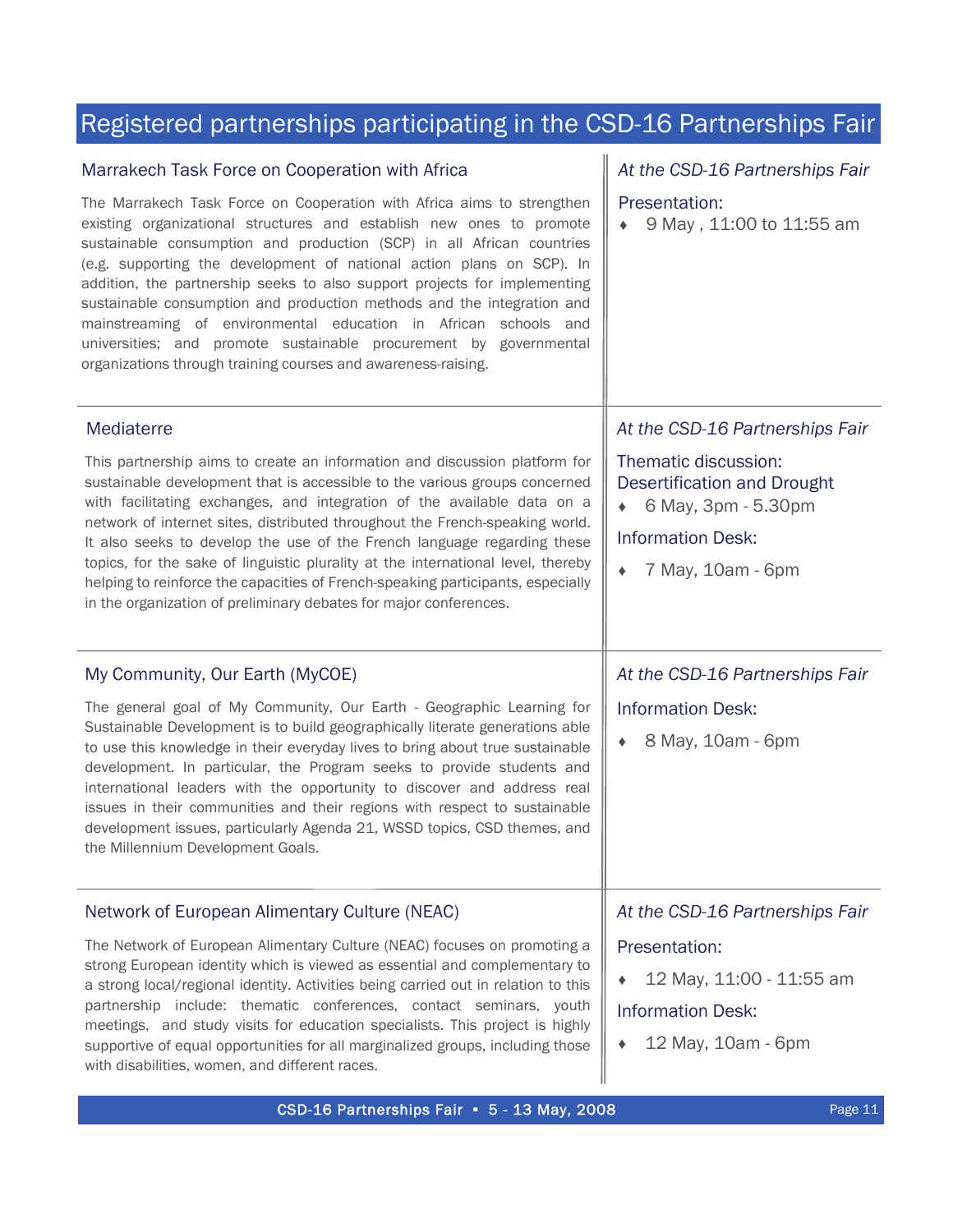## Registered partnerships participating in the CSD-16 Partnerships Fair

### Marrakech Task Force on Cooperation with Africa **At the CSD-16 Partnerships Fair** *At the CSD-16 Partnerships Fair*

The Marrakech Task Force on Cooperation with Africa aims to strengthen existing organizational structures and establish new ones to promote sustainable consumption and production (SCP) in all African countries (e.g. supporting the development of national action plans on SCP). In addition, the partnership seeks to also support projects for implementing sustainable consumption and production methods and the integration and mainstreaming of environmental education in African schools and universities; and promote sustainable procurement by governmental organizations through training courses and awareness-raising.

This partnership aims to create an information and discussion platform for sustainable development that is accessible to the various groups concerned with facilitating exchanges, and integration of the available data on a network of internet sites, distributed throughout the French-speaking world. It also seeks to develop the use of the French language regarding these topics, for the sake of linguistic plurality at the international level, thereby helping to reinforce the capacities of French-speaking participants, especially

in the organization of preliminary debates for major conferences.

#### Presentation:

♦ 9 May , 11:00 to 11:55 am

## Mediaterre **At the CSD-16 Partnerships Fair At the CSD-16 Partnerships Fair At the CSD-16 Partnerships Fair**

Thematic discussion: Desertification and Drought

♦ 6 May, 3pm - 5.30pm

## Information Desk:

♦ 7 May, 10am - 6pm

## My Community, Our Earth (MyCOE) **At the CSD-16 Partnerships Fair At the CSD-16 Partnerships Fair**

The general goal of My Community, Our Earth - Geographic Learning for Sustainable Development is to build geographically literate generations able to use this knowledge in their everyday lives to bring about true sustainable development. In particular, the Program seeks to provide students and international leaders with the opportunity to discover and address real issues in their communities and their regions with respect to sustainable development issues, particularly Agenda 21, WSSD topics, CSD themes, and the Millennium Development Goals.

### Network of European Alimentary Culture (NEAC) **At the CSD-16 Partnerships Fair** and the CSD-16 Partnerships Fair

The Network of European Alimentary Culture (NEAC) focuses on promoting a strong European identity which is viewed as essential and complementary to a strong local/regional identity. Activities being carried out in relation to this partnership include: thematic conferences, contact seminars, youth meetings, and study visits for education specialists. This project is highly supportive of equal opportunities for all marginalized groups, including those with disabilities, women, and different races.

Information Desk:

♦ 8 May, 10am - 6pm

### Presentation:

 $\div$  12 May, 11:00 - 11:55 am

## Information Desk:

♦ 12 May, 10am - 6pm

CSD-16 Partnerships Fair  $\cdot$  5 - 13 May, 2008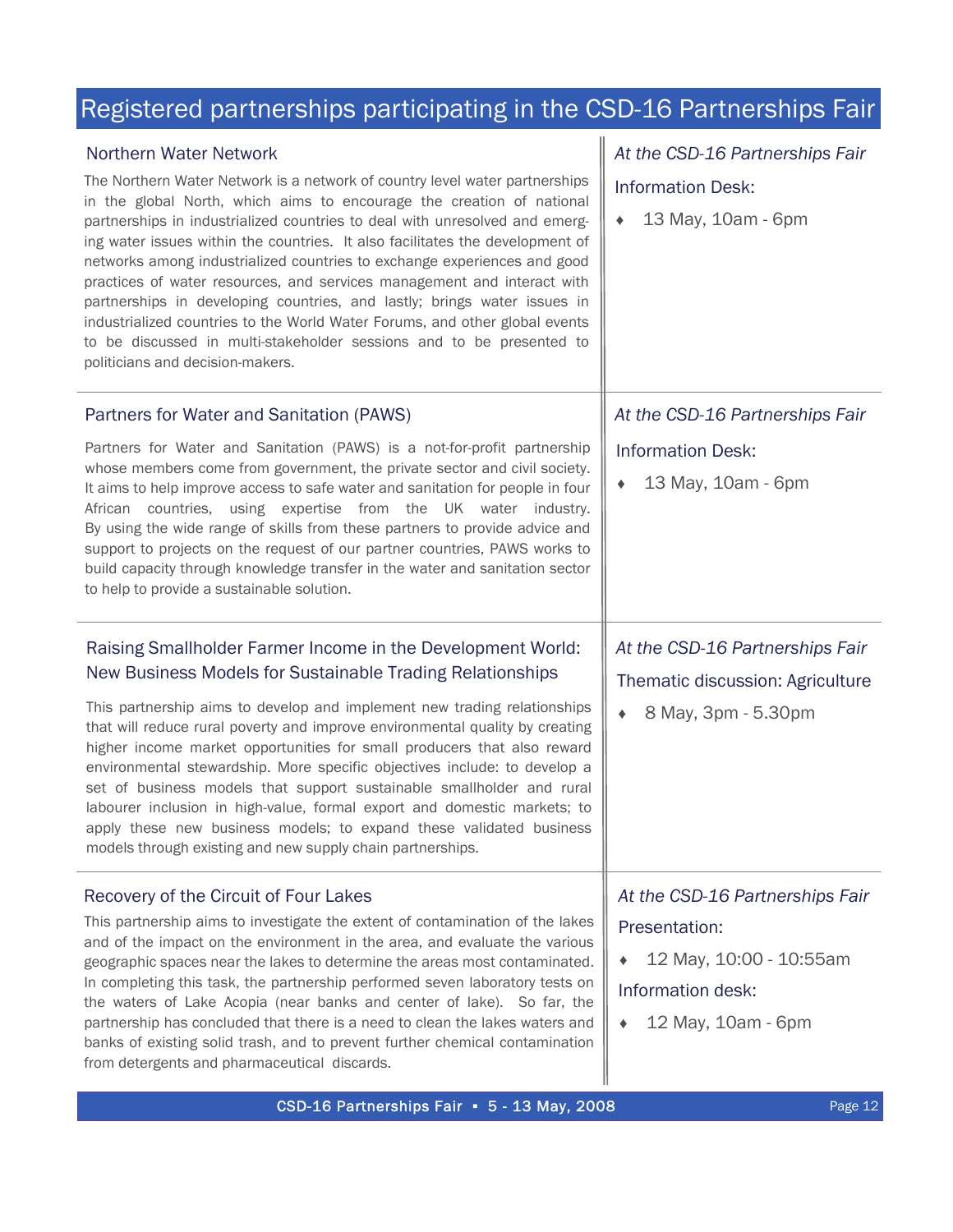## Registered partnerships participating in the CSD-16 Partnerships Fair

The Northern Water Network is a network of country level water partnerships in the global North, which aims to encourage the creation of national partnerships in industrialized countries to deal with unresolved and emerging water issues within the countries. It also facilitates the development of networks among industrialized countries to exchange experiences and good practices of water resources, and services management and interact with partnerships in developing countries, and lastly; brings water issues in industrialized countries to the World Water Forums, and other global events to be discussed in multi-stakeholder sessions and to be presented to politicians and decision-makers.

## Partners for Water and Sanitation (PAWS) **At the CSD-16 Partnerships Fair** and Sanitation (PAWS)

Partners for Water and Sanitation (PAWS) is a not-for-profit partnership whose members come from government, the private sector and civil society. It aims to help improve access to safe water and sanitation for people in four African countries, using expertise from the UK water industry. By using the wide range of skills from these partners to provide advice and support to projects on the request of our partner countries, PAWS works to build capacity through knowledge transfer in the water and sanitation sector to help to provide a sustainable solution.

## Raising Smallholder Farmer Income in the Development World: New Business Models for Sustainable Trading Relationships

This partnership aims to develop and implement new trading relationships  $\parallel$   $\arrow$  8 May, 3pm - 5.30pm that will reduce rural poverty and improve environmental quality by creating higher income market opportunities for small producers that also reward environmental stewardship. More specific objectives include: to develop a set of business models that support sustainable smallholder and rural labourer inclusion in high-value, formal export and domestic markets; to apply these new business models; to expand these validated business models through existing and new supply chain partnerships.

## Recovery of the Circuit of Four Lakes **At the CSD-16 Partnerships Fair At the CSD-16 Partnerships Fair**

This partnership aims to investigate the extent of contamination of the lakes and of the impact on the environment in the area, and evaluate the various geographic spaces near the lakes to determine the areas most contaminated. In completing this task, the partnership performed seven laboratory tests on the waters of Lake Acopia (near banks and center of lake). So far, the partnership has concluded that there is a need to clean the lakes waters and banks of existing solid trash, and to prevent further chemical contamination from detergents and pharmaceutical discards.

## Northern Water Network **At the CSD-16 Partnerships Fair** At the CSD-16 Partnerships Fair

### Information Desk:

♦ 13 May, 10am - 6pm

#### Information Desk:

13 May, 10am - 6pm

## *At the CSD-16 Partnerships Fair*  Thematic discussion: Agriculture

## Presentation:

♦ 12 May, 10:00 - 10:55am

## Information desk:

12 May, 10am - 6pm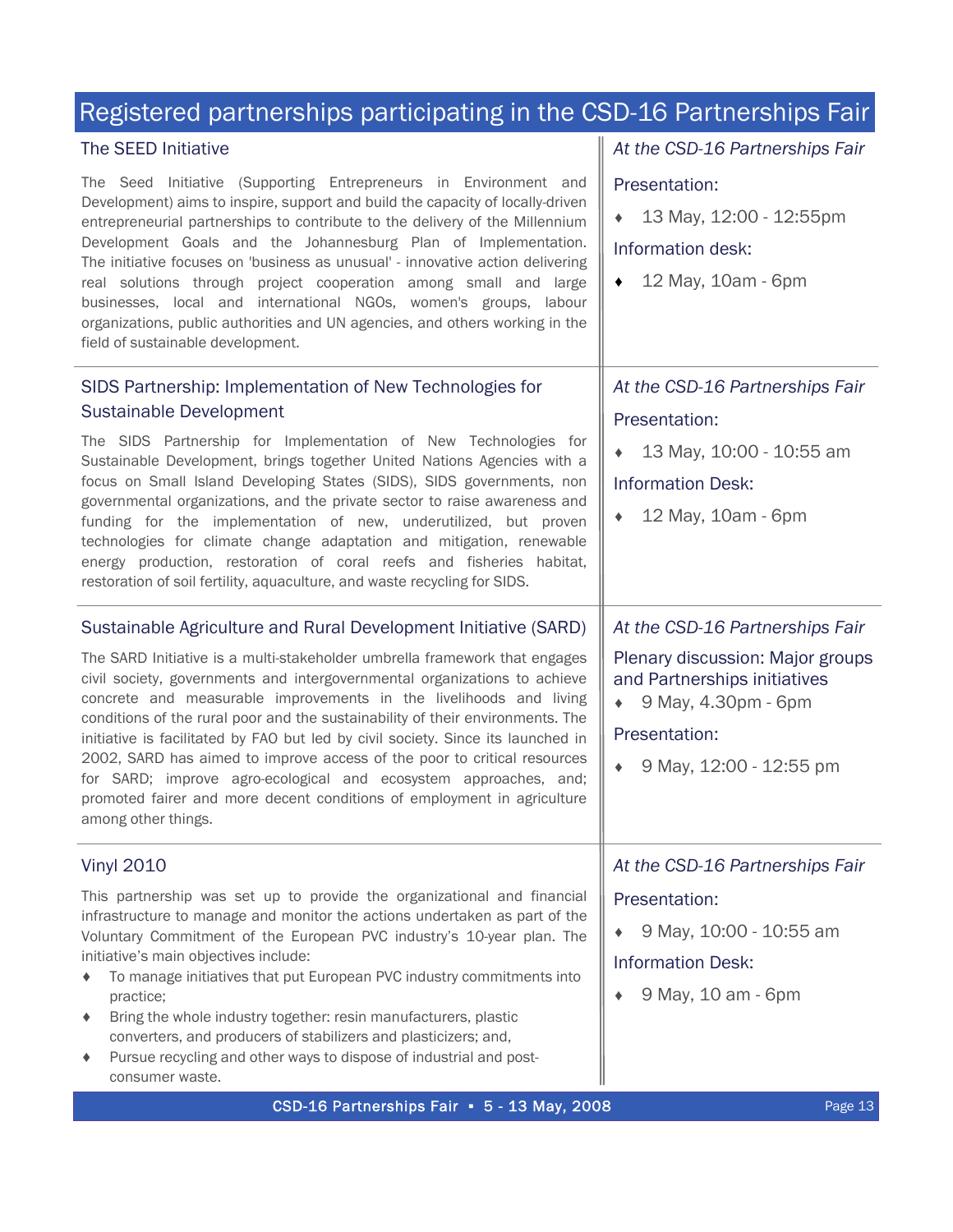## Registered partnerships participating in the CSD-16 Partnerships Fair

The Seed Initiative (Supporting Entrepreneurs in Environment and Development) aims to inspire, support and build the capacity of locally-driven entrepreneurial partnerships to contribute to the delivery of the Millennium Development Goals and the Johannesburg Plan of Implementation. The initiative focuses on 'business as unusual' - innovative action delivering real solutions through project cooperation among small and large businesses, local and international NGOs, women's groups, labour organizations, public authorities and UN agencies, and others working in the field of sustainable development.

## SIDS Partnership: Implementation of New Technologies for Sustainable Development

The SIDS Partnership for Implementation of New Technologies for Sustainable Development, brings together United Nations Agencies with a focus on Small Island Developing States (SIDS), SIDS governments, non governmental organizations, and the private sector to raise awareness and funding for the implementation of new, underutilized, but proven technologies for climate change adaptation and mitigation, renewable energy production, restoration of coral reefs and fisheries habitat, restoration of soil fertility, aquaculture, and waste recycling for SIDS.

### Sustainable Agriculture and Rural Development Initiative (SARD) *At the CSD-16 Partnerships Fair*

The SARD Initiative is a multi-stakeholder umbrella framework that engages civil society, governments and intergovernmental organizations to achieve concrete and measurable improvements in the livelihoods and living conditions of the rural poor and the sustainability of their environments. The initiative is facilitated by FAO but led by civil society. Since its launched in 2002, SARD has aimed to improve access of the poor to critical resources for SARD; improve agro-ecological and ecosystem approaches, and; promoted fairer and more decent conditions of employment in agriculture among other things.

## Vinyl 2010

This partnership was set up to provide the organizational and financial infrastructure to manage and monitor the actions undertaken as part of the Voluntary Commitment of the European PVC industry's 10-year plan. The initiative's main objectives include:

- ♦ To manage initiatives that put European PVC industry commitments into practice;
- ♦ Bring the whole industry together: resin manufacturers, plastic converters, and producers of stabilizers and plasticizers; and,
- Pursue recycling and other ways to dispose of industrial and postconsumer waste.

# The SEED Initiative **At the CSD-16 Partnerships Fair At the CSD-16 Partnerships Fair**

## Presentation:

13 May, 12:00 - 12:55pm

## Information desk:

• 12 May, 10am - 6pm

## *At the CSD-16 Partnerships Fair*  Presentation:

♦ 13 May, 10:00 - 10:55 am

## Information Desk:

♦ 12 May, 10am - 6pm

Plenary discussion: Major groups and Partnerships initiatives

♦ 9 May, 4.30pm - 6pm

## Presentation:

♦ 9 May, 12:00 - 12:55 pm

## *At the CSD-16 Partnerships Fair*

## Presentation:

♦ 9 May, 10:00 - 10:55 am

## Information Desk:

♦ 9 May, 10 am - 6pm